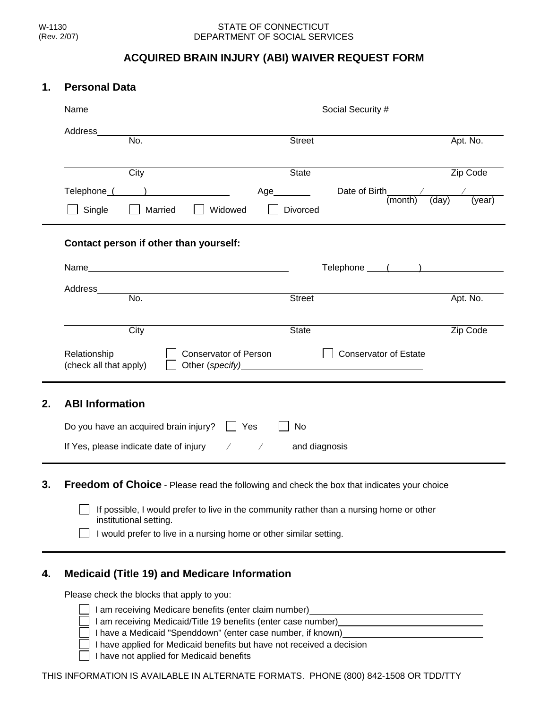## STATE OF CONNECTICUT DEPARTMENT OF SOCIAL SERVICES

## **ACQUIRED BRAIN INJURY (ABI) WAIVER REQUEST FORM**

## **1. Personal Data**

|                                                                                                                                                                                                                                                                     |                                                                                                                                                                                                                                                                                                | Social Security # Social Security #                  |  |
|---------------------------------------------------------------------------------------------------------------------------------------------------------------------------------------------------------------------------------------------------------------------|------------------------------------------------------------------------------------------------------------------------------------------------------------------------------------------------------------------------------------------------------------------------------------------------|------------------------------------------------------|--|
| Address______<br>$\overline{\mathsf{No}}$ .                                                                                                                                                                                                                         | <b>Street</b>                                                                                                                                                                                                                                                                                  | Apt. No.                                             |  |
| City                                                                                                                                                                                                                                                                | State                                                                                                                                                                                                                                                                                          | Zip Code                                             |  |
| Telephone ( ) and ( ) and ( ) and ( ) and ( ) and ( ) and ( ) and ( ) and ( ) and ( ) is not ( ) is not ( ) is not ( ) is not ( ) is not ( ) is not ( ) is not ( ) is not ( ) is not ( ) is not ( ) is not ( ) is not ( ) is n<br>Single<br>    Married     Widowed | Age_________<br>Divorced                                                                                                                                                                                                                                                                       | Date of Birth $\frac{\sqrt{2}}{(month) \quad (day)}$ |  |
| Contact person if other than yourself:                                                                                                                                                                                                                              |                                                                                                                                                                                                                                                                                                |                                                      |  |
|                                                                                                                                                                                                                                                                     |                                                                                                                                                                                                                                                                                                | Telephone () and ()                                  |  |
|                                                                                                                                                                                                                                                                     | <b>Street</b>                                                                                                                                                                                                                                                                                  | Apt. No.                                             |  |
| City                                                                                                                                                                                                                                                                | <b>State</b>                                                                                                                                                                                                                                                                                   | Zip Code                                             |  |
| Relationship<br>(check all that apply)                                                                                                                                                                                                                              | <b>Conservator of Person</b><br><b>Conservator of Estate</b><br>Other (specify) example and the state of the state of the state of the state of the state of the state of the state of the state of the state of the state of the state of the state of the state of the state of the state of |                                                      |  |
| <b>ABI Information</b>                                                                                                                                                                                                                                              |                                                                                                                                                                                                                                                                                                |                                                      |  |
|                                                                                                                                                                                                                                                                     |                                                                                                                                                                                                                                                                                                |                                                      |  |
| Do you have an acquired brain injury? $\Box$ Yes                                                                                                                                                                                                                    | No                                                                                                                                                                                                                                                                                             |                                                      |  |
|                                                                                                                                                                                                                                                                     |                                                                                                                                                                                                                                                                                                |                                                      |  |
|                                                                                                                                                                                                                                                                     |                                                                                                                                                                                                                                                                                                |                                                      |  |
| Freedom of Choice - Please read the following and check the box that indicates your choice<br>institutional setting.                                                                                                                                                | If possible, I would prefer to live in the community rather than a nursing home or other                                                                                                                                                                                                       |                                                      |  |

Please check the blocks that apply to you:

| I am receiving Medicare benefits (enter claim number)         |  |
|---------------------------------------------------------------|--|
| I am receiving Medicaid/Title 19 benefits (enter case number) |  |
| I have a Medicaid "Spenddown" (enter case number, if known)   |  |

I have applied for Medicaid benefits but have not received a decision

 $\Box$  I have not applied for Medicaid benefits

THIS INFORMATION IS AVAILABLE IN ALTERNATE FORMATS. PHONE (800) 842-1508 OR TDD/TTY